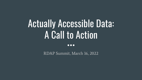# Actually Accessible Data: A Call to Action

 $\bullet\bullet\bullet$ 

RDAP Summit, March 16, 2022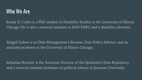### Who We Are

Randy D. Colón is a PhD student in Disability Studies at the University of Illinois Chicago. He is also a research assistant at ADA PARC and a disability advocate.

Abigail Goben is an Data Management Librarian, Data Policy Advisor, and an associate professor at the University of Illinois Chicago.

Sebastian Karcher is the Associate Director of the Qualitative Data Repository and a research assistant professor of political science at Syracuse University.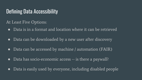# Defining Data Accessibility

At Least Five Options:

- Data is in a format and location where it can be retrieved
- Data can be downloaded by a new user after discovery
- Data can be accessed by machine / automation (FAIR)
- Data has socio-economic access  $-$  is there a paywall?
- Data is easily used by everyone, including disabled people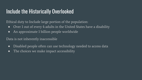# Include the Historically Overlooked

Ethical duty to Include large portion of the population:

- Over 1 out of every 4 adults in the United States have a disability
- An approximate 1 billion people worldwide

Data is not inherently inaccessible

- Disabled people often can use technology needed to access data
- The choices we make impact accessibility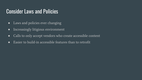# Consider Laws and Policies

- Laws and policies ever changing
- Increasingly litigious environment
- Calls to only accept vendors who create accessible content
- Easier to build-in accessible features than to retrofit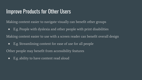# Improve Products for Other Users

Making content easier to navigate visually can benefit other groups

● E.g. People with dyslexia and other people with print disabilities

Making content easier to use with a screen reader can benefit overall design

● E.g. Streamlining content for ease of use for all people

Other people may benefit from accessibility features

● E.g. ability to have content read aloud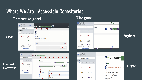# Where We Are - Accessible Repositories

### The not so good



#### The good



#### figshare

#### Harvard Dataverse

**OSF** 





#### Dryad

Ryan, Joseph F., Whitney Laboratory for Marine Biosc Dunn, Casey W., Brown University Publication date: August 13, 2015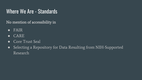# Where We Are - Standards

No mention of accessibility in

- FAIR
- CARE
- Core Trust Seal
- Selecting a Repository for Data Resulting from NIH-Supported Research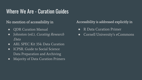# Where We Are - Curation Guides

#### No mention of accessibility in

- QDR Curation Manual
- Johnston (ed.), *Curating Research* Data
- ARL SPEC Kit 354: Data Curation
- ICPSR. Guide to Social Science Data Preparation and Archiving
- Majority of Data Curation Primers

#### Accessibility is addressed explicitly in

- R Data Curation Primer
- Cornell University's eCommons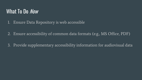# What To Do Now

- 1. Ensure Data Repository is web accessible
- 2. Ensure accessibility of common data formats (e.g., MS Office, PDF)
- 3. Provide supplementary accessibility information for audiovisual data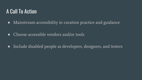# A Call To Action

- Mainstream accessibility in curation practice and guidance
- Choose accessible vendors and/or tools
- Include disabled people as developers, designers, and testers